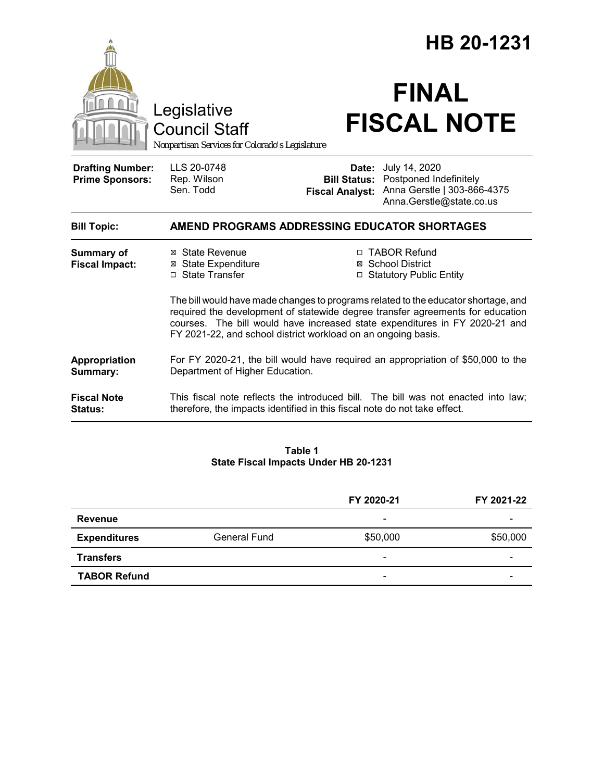|                                                   |                                                                                                                                                                                                                                                                                                                      | HB 20-1231<br><b>FINAL</b>                    |                                                                                                          |  |
|---------------------------------------------------|----------------------------------------------------------------------------------------------------------------------------------------------------------------------------------------------------------------------------------------------------------------------------------------------------------------------|-----------------------------------------------|----------------------------------------------------------------------------------------------------------|--|
|                                                   | Legislative<br><b>Council Staff</b><br>Nonpartisan Services for Colorado's Legislature                                                                                                                                                                                                                               |                                               | <b>FISCAL NOTE</b>                                                                                       |  |
| <b>Drafting Number:</b><br><b>Prime Sponsors:</b> | LLS 20-0748<br>Rep. Wilson<br>Sen. Todd                                                                                                                                                                                                                                                                              | <b>Bill Status:</b><br><b>Fiscal Analyst:</b> | Date: July 14, 2020<br>Postponed Indefinitely<br>Anna Gerstle   303-866-4375<br>Anna.Gerstle@state.co.us |  |
| <b>Bill Topic:</b>                                | AMEND PROGRAMS ADDRESSING EDUCATOR SHORTAGES                                                                                                                                                                                                                                                                         |                                               |                                                                                                          |  |
| <b>Summary of</b><br><b>Fiscal Impact:</b>        | ⊠ State Revenue<br><b>⊠</b> State Expenditure<br>□ State Transfer                                                                                                                                                                                                                                                    |                                               | □ TABOR Refund<br>⊠ School District<br>□ Statutory Public Entity                                         |  |
|                                                   | The bill would have made changes to programs related to the educator shortage, and<br>required the development of statewide degree transfer agreements for education<br>courses. The bill would have increased state expenditures in FY 2020-21 and<br>FY 2021-22, and school district workload on an ongoing basis. |                                               |                                                                                                          |  |
| Appropriation<br>Summary:                         | For FY 2020-21, the bill would have required an appropriation of \$50,000 to the<br>Department of Higher Education.                                                                                                                                                                                                  |                                               |                                                                                                          |  |
| <b>Fiscal Note</b><br>Status:                     | This fiscal note reflects the introduced bill. The bill was not enacted into law;<br>therefore, the impacts identified in this fiscal note do not take effect.                                                                                                                                                       |                                               |                                                                                                          |  |

#### **Table 1 State Fiscal Impacts Under HB 20-1231**

|                     |              | FY 2020-21               | FY 2021-22 |
|---------------------|--------------|--------------------------|------------|
| Revenue             |              | -                        |            |
| <b>Expenditures</b> | General Fund | \$50,000                 | \$50,000   |
| <b>Transfers</b>    |              | $\overline{\phantom{0}}$ | -          |
| <b>TABOR Refund</b> |              | $\overline{\phantom{a}}$ |            |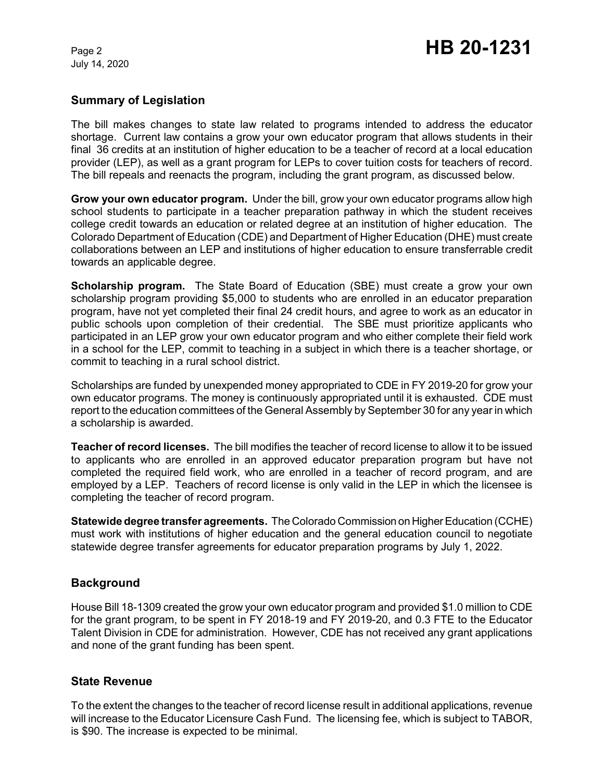July 14, 2020

## **Summary of Legislation**

The bill makes changes to state law related to programs intended to address the educator shortage. Current law contains a grow your own educator program that allows students in their final 36 credits at an institution of higher education to be a teacher of record at a local education provider (LEP), as well as a grant program for LEPs to cover tuition costs for teachers of record. The bill repeals and reenacts the program, including the grant program, as discussed below.

**Grow your own educator program.**Under the bill, grow your own educator programs allow high school students to participate in a teacher preparation pathway in which the student receives college credit towards an education or related degree at an institution of higher education. The Colorado Department of Education (CDE) and Department of Higher Education (DHE) must create collaborations between an LEP and institutions of higher education to ensure transferrable credit towards an applicable degree.

**Scholarship program.** The State Board of Education (SBE) must create a grow your own scholarship program providing \$5,000 to students who are enrolled in an educator preparation program, have not yet completed their final 24 credit hours, and agree to work as an educator in public schools upon completion of their credential. The SBE must prioritize applicants who participated in an LEP grow your own educator program and who either complete their field work in a school for the LEP, commit to teaching in a subject in which there is a teacher shortage, or commit to teaching in a rural school district.

Scholarships are funded by unexpended money appropriated to CDE in FY 2019-20 for grow your own educator programs. The money is continuously appropriated until it is exhausted. CDE must report to the education committees of the General Assembly by September 30 for any year in which a scholarship is awarded.

**Teacher of record licenses.** The bill modifies the teacher of record license to allow it to be issued to applicants who are enrolled in an approved educator preparation program but have not completed the required field work, who are enrolled in a teacher of record program, and are employed by a LEP. Teachers of record license is only valid in the LEP in which the licensee is completing the teacher of record program.

**Statewide degree transfer agreements.** The Colorado Commission on Higher Education (CCHE) must work with institutions of higher education and the general education council to negotiate statewide degree transfer agreements for educator preparation programs by July 1, 2022.

## **Background**

House Bill 18-1309 created the grow your own educator program and provided \$1.0 million to CDE for the grant program, to be spent in FY 2018-19 and FY 2019-20, and 0.3 FTE to the Educator Talent Division in CDE for administration. However, CDE has not received any grant applications and none of the grant funding has been spent.

## **State Revenue**

To the extent the changes to the teacher of record license result in additional applications, revenue will increase to the Educator Licensure Cash Fund. The licensing fee, which is subject to TABOR, is \$90. The increase is expected to be minimal.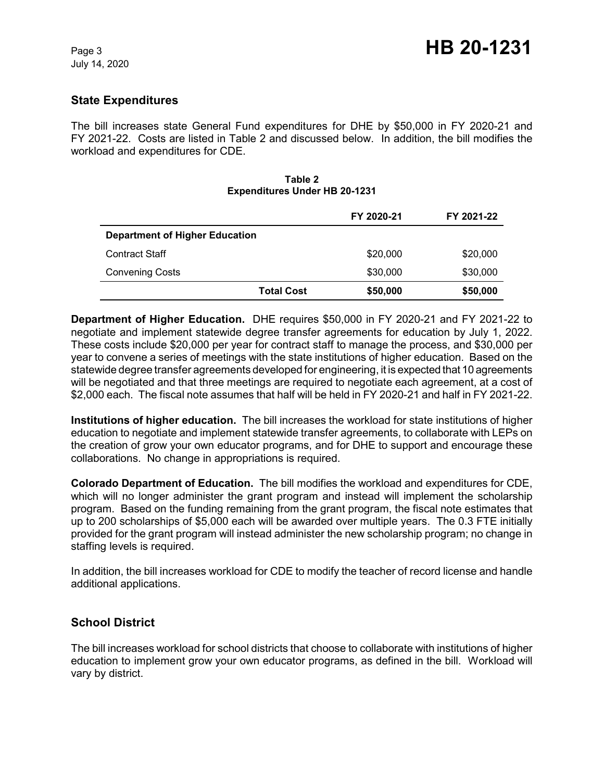## **State Expenditures**

The bill increases state General Fund expenditures for DHE by \$50,000 in FY 2020-21 and FY 2021-22. Costs are listed in Table 2 and discussed below. In addition, the bill modifies the workload and expenditures for CDE.

#### **Table 2 Expenditures Under HB 20-1231**

|                                       | FY 2020-21 | FY 2021-22 |  |  |
|---------------------------------------|------------|------------|--|--|
| <b>Department of Higher Education</b> |            |            |  |  |
| <b>Contract Staff</b>                 | \$20,000   | \$20,000   |  |  |
| <b>Convening Costs</b>                | \$30,000   | \$30,000   |  |  |
| <b>Total Cost</b>                     | \$50,000   | \$50,000   |  |  |

**Department of Higher Education.** DHE requires \$50,000 in FY 2020-21 and FY 2021-22 to negotiate and implement statewide degree transfer agreements for education by July 1, 2022. These costs include \$20,000 per year for contract staff to manage the process, and \$30,000 per year to convene a series of meetings with the state institutions of higher education. Based on the statewide degree transfer agreements developed for engineering, it is expected that 10 agreements will be negotiated and that three meetings are required to negotiate each agreement, at a cost of \$2,000 each. The fiscal note assumes that half will be held in FY 2020-21 and half in FY 2021-22.

**Institutions of higher education.** The bill increases the workload for state institutions of higher education to negotiate and implement statewide transfer agreements, to collaborate with LEPs on the creation of grow your own educator programs, and for DHE to support and encourage these collaborations. No change in appropriations is required.

**Colorado Department of Education.** The bill modifies the workload and expenditures for CDE, which will no longer administer the grant program and instead will implement the scholarship program. Based on the funding remaining from the grant program, the fiscal note estimates that up to 200 scholarships of \$5,000 each will be awarded over multiple years. The 0.3 FTE initially provided for the grant program will instead administer the new scholarship program; no change in staffing levels is required.

In addition, the bill increases workload for CDE to modify the teacher of record license and handle additional applications.

# **School District**

The bill increases workload for school districts that choose to collaborate with institutions of higher education to implement grow your own educator programs, as defined in the bill. Workload will vary by district.